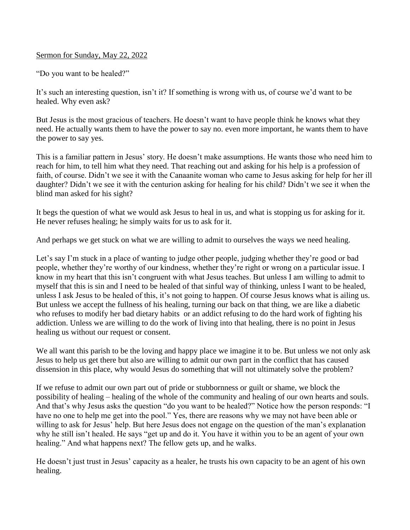## Sermon for Sunday, May 22, 2022

"Do you want to be healed?"

It's such an interesting question, isn't it? If something is wrong with us, of course we'd want to be healed. Why even ask?

But Jesus is the most gracious of teachers. He doesn't want to have people think he knows what they need. He actually wants them to have the power to say no. even more important, he wants them to have the power to say yes.

This is a familiar pattern in Jesus' story. He doesn't make assumptions. He wants those who need him to reach for him, to tell him what they need. That reaching out and asking for his help is a profession of faith, of course. Didn't we see it with the Canaanite woman who came to Jesus asking for help for her ill daughter? Didn't we see it with the centurion asking for healing for his child? Didn't we see it when the blind man asked for his sight?

It begs the question of what we would ask Jesus to heal in us, and what is stopping us for asking for it. He never refuses healing; he simply waits for us to ask for it.

And perhaps we get stuck on what we are willing to admit to ourselves the ways we need healing.

Let's say I'm stuck in a place of wanting to judge other people, judging whether they're good or bad people, whether they're worthy of our kindness, whether they're right or wrong on a particular issue. I know in my heart that this isn't congruent with what Jesus teaches. But unless I am willing to admit to myself that this is sin and I need to be healed of that sinful way of thinking, unless I want to be healed, unless I ask Jesus to be healed of this, it's not going to happen. Of course Jesus knows what is ailing us. But unless we accept the fullness of his healing, turning our back on that thing, we are like a diabetic who refuses to modify her bad dietary habits or an addict refusing to do the hard work of fighting his addiction. Unless we are willing to do the work of living into that healing, there is no point in Jesus healing us without our request or consent.

We all want this parish to be the loving and happy place we imagine it to be. But unless we not only ask Jesus to help us get there but also are willing to admit our own part in the conflict that has caused dissension in this place, why would Jesus do something that will not ultimately solve the problem?

If we refuse to admit our own part out of pride or stubbornness or guilt or shame, we block the possibility of healing – healing of the whole of the community and healing of our own hearts and souls. And that's why Jesus asks the question "do you want to be healed?" Notice how the person responds: "I have no one to help me get into the pool." Yes, there are reasons why we may not have been able or willing to ask for Jesus' help. But here Jesus does not engage on the question of the man's explanation why he still isn't healed. He says "get up and do it. You have it within you to be an agent of your own healing." And what happens next? The fellow gets up, and he walks.

He doesn't just trust in Jesus' capacity as a healer, he trusts his own capacity to be an agent of his own healing.